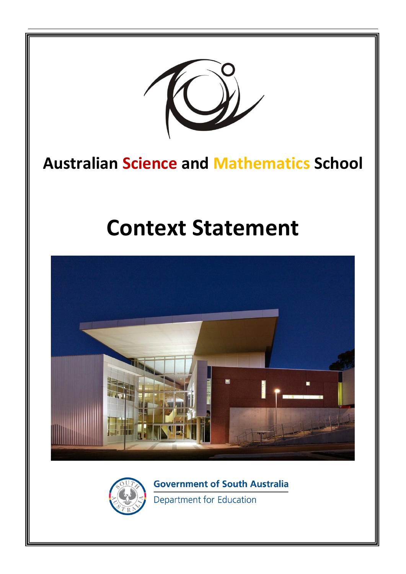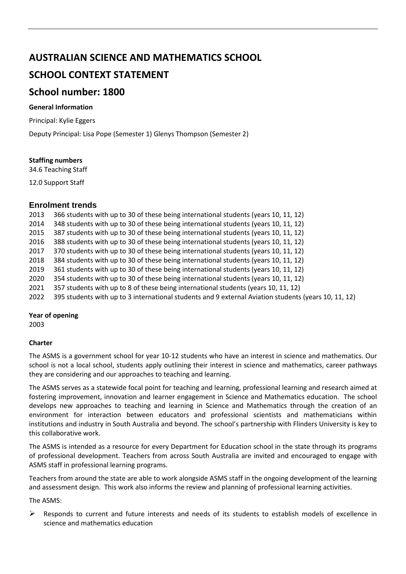# **AUSTRALIAN SCIENCE AND MATHEMATICS SCHOOL**

# **SCHOOL CONTEXT STATEMENT**

# **School number: 1800**

# **General Information**

Principal: Kylie Eggers

Deputy Principal: Lisa Pope (Semester 1) Glenys Thompson (Semester 2)

## **Staffing numbers**

34.6 Teaching Staff

12.0 Support Staff

# **Enrolment trends**

- 2013 366 students with up to 30 of these being international students (years 10, 11, 12)
- 2014 348 students with up to 30 of these being international students (years 10, 11, 12)
- 2015 387 students with up to 30 of these being international students (years 10, 11, 12)
- 2016 388 students with up to 30 of these being international students (years 10, 11, 12)
- 2017 370 students with up to 30 of these being international students (years 10, 11, 12)
- 2018 384 students with up to 30 of these being international students (years 10, 11, 12)
- 2019 361 students with up to 30 of these being international students (years 10, 11, 12)
- 2020 354 students with up to 30 of these being international students (years 10, 11, 12)
- 2021 357 students with up to 8 of these being international students (years 10, 11, 12)
- 2022 395 students with up to 3 international students and 9 external Aviation students (years 10, 11, 12)

## **Year of opening**

2003

## **Charter**

The ASMS is a government school for year 10-12 students who have an interest in science and mathematics. Our school is not a local school, students apply outlining their interest in science and mathematics, career pathways they are considering and our approaches to teaching and learning.

The ASMS serves as a statewide focal point for teaching and learning, professional learning and research aimed at fostering improvement, innovation and learner engagement in Science and Mathematics education. The school develops new approaches to teaching and learning in Science and Mathematics through the creation of an environment for interaction between educators and professional scientists and mathematicians within institutions and industry in South Australia and beyond. The school's partnership with Flinders University is key to this collaborative work.

The ASMS is intended as a resource for every Department for Education school in the state through its programs of professional development. Teachers from across South Australia are invited and encouraged to engage with ASMS staff in professional learning programs.

Teachers from around the state are able to work alongside ASMS staff in the ongoing development of the learning and assessment design. This work also informs the review and planning of professional learning activities.

The ASMS:

 $\triangleright$  Responds to current and future interests and needs of its students to establish models of excellence in science and mathematics education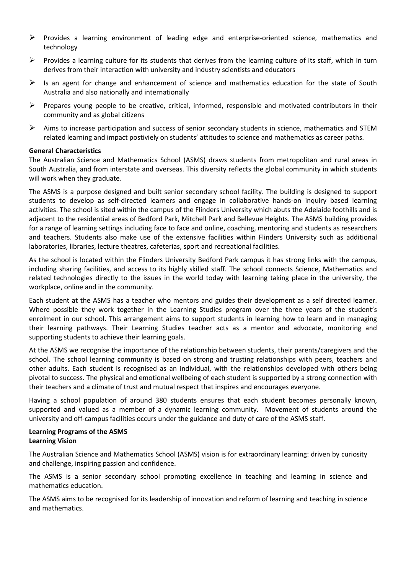- ➢ Provides a learning environment of leading edge and enterprise-oriented science, mathematics and technology
- $\triangleright$  Provides a learning culture for its students that derives from the learning culture of its staff, which in turn derives from their interaction with university and industry scientists and educators
- $\triangleright$  Is an agent for change and enhancement of science and mathematics education for the state of South Australia and also nationally and internationally
- $\triangleright$  Prepares young people to be creative, critical, informed, responsible and motivated contributors in their community and as global citizens
- $\triangleright$  Aims to increase participation and success of senior secondary students in science, mathematics and STEM related learning and impact postiviely on students' attitudes to science and mathematics as career paths.

### **General Characteristics**

The Australian Science and Mathematics School (ASMS) draws students from metropolitan and rural areas in South Australia, and from interstate and overseas. This diversity reflects the global community in which students will work when they graduate.

The ASMS is a purpose designed and built senior secondary school facility. The building is designed to support students to develop as self-directed learners and engage in collaborative hands-on inquiry based learning activities. The school is sited within the campus of the Flinders University which abuts the Adelaide foothills and is adjacent to the residential areas of Bedford Park, Mitchell Park and Bellevue Heights. The ASMS building provides for a range of learning settings including face to face and online, coaching, mentoring and students as researchers and teachers. Students also make use of the extensive facilities within Flinders University such as additional laboratories, libraries, lecture theatres, cafeterias, sport and recreational facilities.

As the school is located within the Flinders University Bedford Park campus it has strong links with the campus, including sharing facilities, and access to its highly skilled staff. The school connects Science, Mathematics and related technologies directly to the issues in the world today with learning taking place in the university, the workplace, online and in the community.

Each student at the ASMS has a teacher who mentors and guides their development as a self directed learner. Where possible they work together in the Learning Studies program over the three years of the student's enrolment in our school. This arrangement aims to support students in learning how to learn and in managing their learning pathways. Their Learning Studies teacher acts as a mentor and advocate, monitoring and supporting students to achieve their learning goals.

At the ASMS we recognise the importance of the relationship between students, their parents/caregivers and the school. The school learning community is based on strong and trusting relationships with peers, teachers and other adults. Each student is recognised as an individual, with the relationships developed with others being pivotal to success. The physical and emotional wellbeing of each student is supported by a strong connection with their teachers and a climate of trust and mutual respect that inspires and encourages everyone.

Having a school population of around 380 students ensures that each student becomes personally known, supported and valued as a member of a dynamic learning community. Movement of students around the university and off-campus facilities occurs under the guidance and duty of care of the ASMS staff.

### **Learning Programs of the ASMS Learning Vision**

The Australian Science and Mathematics School (ASMS) vision is for extraordinary learning: driven by curiosity and challenge, inspiring passion and confidence.

The ASMS is a senior secondary school promoting excellence in teaching and learning in science and mathematics education.

The ASMS aims to be recognised for its leadership of innovation and reform of learning and teaching in science and mathematics.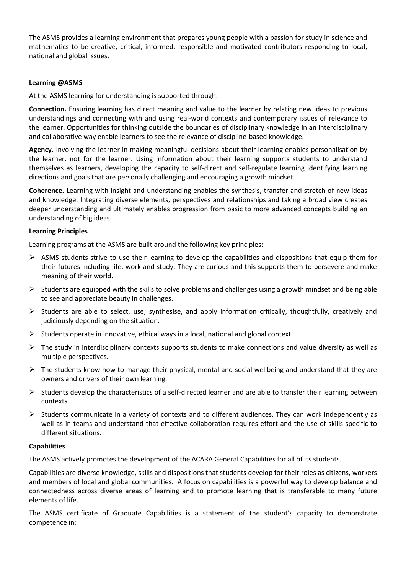The ASMS provides a learning environment that prepares young people with a passion for study in science and mathematics to be creative, critical, informed, responsible and motivated contributors responding to local, national and global issues.

## **Learning @ASMS**

At the ASMS learning for understanding is supported through:

**Connection.** Ensuring learning has direct meaning and value to the learner by relating new ideas to previous understandings and connecting with and using real-world contexts and contemporary issues of relevance to the learner. Opportunities for thinking outside the boundaries of disciplinary knowledge in an interdisciplinary and collaborative way enable learners to see the relevance of discipline-based knowledge.

**Agency.** Involving the learner in making meaningful decisions about their learning enables personalisation by the learner, not for the learner. Using information about their learning supports students to understand themselves as learners, developing the capacity to self-direct and self-regulate learning identifying learning directions and goals that are personally challenging and encouraging a growth mindset.

**Coherence.** Learning with insight and understanding enables the synthesis, transfer and stretch of new ideas and knowledge. Integrating diverse elements, perspectives and relationships and taking a broad view creates deeper understanding and ultimately enables progression from basic to more advanced concepts building an understanding of big ideas.

## **Learning Principles**

Learning programs at the ASMS are built around the following key principles:

- $\triangleright$  ASMS students strive to use their learning to develop the capabilities and dispositions that equip them for their futures including life, work and study. They are curious and this supports them to persevere and make meaning of their world.
- $\triangleright$  Students are equipped with the skills to solve problems and challenges using a growth mindset and being able to see and appreciate beauty in challenges.
- $\triangleright$  Students are able to select, use, synthesise, and apply information critically, thoughtfully, creatively and judiciously depending on the situation.
- $\triangleright$  Students operate in innovative, ethical ways in a local, national and global context.
- $\triangleright$  The study in interdisciplinary contexts supports students to make connections and value diversity as well as multiple perspectives.
- ➢ The students know how to manage their physical, mental and social wellbeing and understand that they are owners and drivers of their own learning.
- $\triangleright$  Students develop the characteristics of a self-directed learner and are able to transfer their learning between contexts.
- $\triangleright$  Students communicate in a variety of contexts and to different audiences. They can work independently as well as in teams and understand that effective collaboration requires effort and the use of skills specific to different situations.

### **Capabilities**

The ASMS actively promotes the development of the ACARA General Capabilities for all of its students.

Capabilities are diverse knowledge, skills and dispositions that students develop for their roles as citizens, workers and members of local and global communities. A focus on capabilities is a powerful way to develop balance and connectedness across diverse areas of learning and to promote learning that is transferable to many future elements of life.

The ASMS certificate of Graduate Capabilities is a statement of the student's capacity to demonstrate competence in: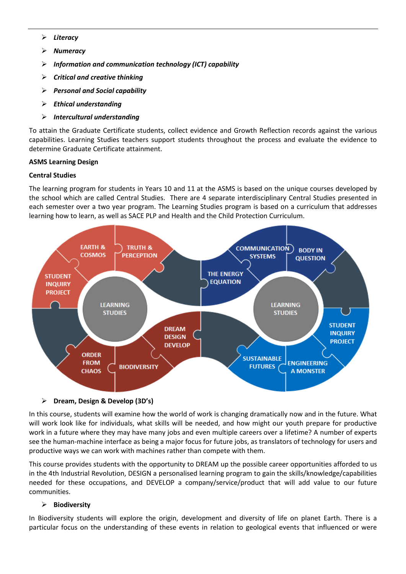- ➢ *Literacy*
- ➢ *Numeracy*
- ➢ *Information and communication technology (ICT) capability*
- ➢ *Critical and creative thinking*
- ➢ *Personal and Social capability*
- ➢ *Ethical understanding*
- ➢ *Intercultural understanding*

To attain the Graduate Certificate students, collect evidence and Growth Reflection records against the various capabilities. Learning Studies teachers support students throughout the process and evaluate the evidence to determine Graduate Certificate attainment.

## **ASMS Learning Design**

## **Central Studies**

The learning program for students in Years 10 and 11 at the ASMS is based on the unique courses developed by the school which are called Central Studies. There are 4 separate interdisciplinary Central Studies presented in each semester over a two year program. The Learning Studies program is based on a curriculum that addresses learning how to learn, as well as SACE PLP and Health and the Child Protection Curriculum.



### ➢ **Dream, Design & Develop (3D's)**

In this course, students will examine how the world of work is changing dramatically now and in the future. What will work look like for individuals, what skills will be needed, and how might our youth prepare for productive work in a future where they may have many jobs and even multiple careers over a lifetime? A number of experts see the human-machine interface as being a major focus for future jobs, as translators of technology for users and productive ways we can work with machines rather than compete with them.

This course provides students with the opportunity to DREAM up the possible career opportunities afforded to us in the 4th Industrial Revolution, DESIGN a personalised learning program to gain the skills/knowledge/capabilities needed for these occupations, and DEVELOP a company/service/product that will add value to our future communities.

## ➢ **Biodiversity**

In Biodiversity students will explore the origin, development and diversity of life on planet Earth. There is a particular focus on the understanding of these events in relation to geological events that influenced or were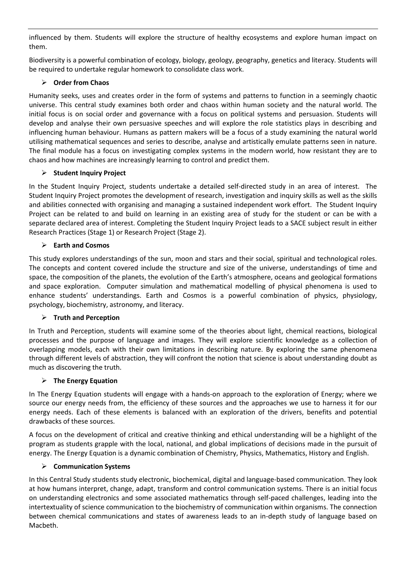influenced by them. Students will explore the structure of healthy ecosystems and explore human impact on them.

Biodiversity is a powerful combination of ecology, biology, geology, geography, genetics and literacy. Students will be required to undertake regular homework to consolidate class work.

## ➢ **Order from Chaos**

Humanity seeks, uses and creates order in the form of systems and patterns to function in a seemingly chaotic universe. This central study examines both order and chaos within human society and the natural world. The initial focus is on social order and governance with a focus on political systems and persuasion. Students will develop and analyse their own persuasive speeches and will explore the role statistics plays in describing and influencing human behaviour. Humans as pattern makers will be a focus of a study examining the natural world utilising mathematical sequences and series to describe, analyse and artistically emulate patterns seen in nature. The final module has a focus on investigating complex systems in the modern world, how resistant they are to chaos and how machines are increasingly learning to control and predict them.

# ➢ **Student Inquiry Project**

In the Student Inquiry Project, students undertake a detailed self-directed study in an area of interest. The Student Inquiry Project promotes the development of research, investigation and inquiry skills as well as the skills and abilities connected with organising and managing a sustained independent work effort. The Student Inquiry Project can be related to and build on learning in an existing area of study for the student or can be with a separate declared area of interest. Completing the Student Inquiry Project leads to a SACE subject result in either Research Practices (Stage 1) or Research Project (Stage 2).

# ➢ **Earth and Cosmos**

This study explores understandings of the sun, moon and stars and their social, spiritual and technological roles. The concepts and content covered include the structure and size of the universe, understandings of time and space, the composition of the planets, the evolution of the Earth's atmosphere, oceans and geological formations and space exploration. Computer simulation and mathematical modelling of physical phenomena is used to enhance students' understandings. Earth and Cosmos is a powerful combination of physics, physiology, psychology, biochemistry, astronomy, and literacy.

## ➢ **Truth and Perception**

In Truth and Perception, students will examine some of the theories about light, chemical reactions, biological processes and the purpose of language and images. They will explore scientific knowledge as a collection of overlapping models, each with their own limitations in describing nature. By exploring the same phenomena through different levels of abstraction, they will confront the notion that science is about understanding doubt as much as discovering the truth.

## ➢ **The Energy Equation**

In The Energy Equation students will engage with a hands-on approach to the exploration of Energy; where we source our energy needs from, the efficiency of these sources and the approaches we use to harness it for our energy needs. Each of these elements is balanced with an exploration of the drivers, benefits and potential drawbacks of these sources.

A focus on the development of critical and creative thinking and ethical understanding will be a highlight of the program as students grapple with the local, national, and global implications of decisions made in the pursuit of energy. The Energy Equation is a dynamic combination of Chemistry, Physics, Mathematics, History and English.

## ➢ **Communication Systems**

In this Central Study students study electronic, biochemical, digital and language-based communication. They look at how humans interpret, change, adapt, transform and control communication systems. There is an initial focus on understanding electronics and some associated mathematics through self-paced challenges, leading into the intertextuality of science communication to the biochemistry of communication within organisms. The connection between chemical communications and states of awareness leads to an in-depth study of language based on Macbeth.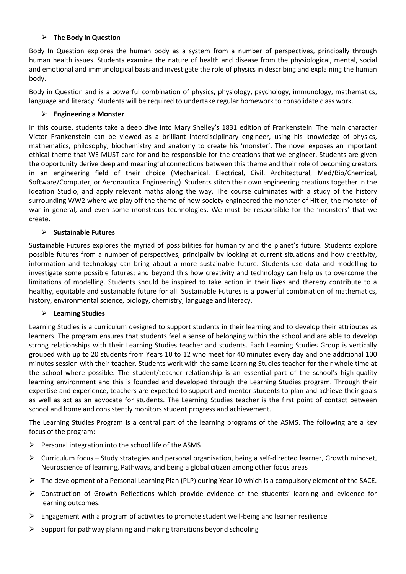## ➢ **The Body in Question**

Body In Question explores the human body as a system from a number of perspectives, principally through human health issues. Students examine the nature of health and disease from the physiological, mental, social and emotional and immunological basis and investigate the role of physics in describing and explaining the human body.

Body in Question and is a powerful combination of physics, physiology, psychology, immunology, mathematics, language and literacy. Students will be required to undertake regular homework to consolidate class work.

## ➢ **Engineering a Monster**

In this course, students take a deep dive into Mary Shelley's 1831 edition of Frankenstein. The main character Victor Frankenstein can be viewed as a brilliant interdisciplinary engineer, using his knowledge of physics, mathematics, philosophy, biochemistry and anatomy to create his 'monster'. The novel exposes an important ethical theme that WE MUST care for and be responsible for the creations that we engineer. Students are given the opportunity derive deep and meaningful connections between this theme and their role of becoming creators in an engineering field of their choice (Mechanical, Electrical, Civil, Architectural, Med/Bio/Chemical, Software/Computer, or Aeronautical Engineering). Students stitch their own engineering creations together in the Ideation Studio, and apply relevant maths along the way. The course culminates with a study of the history surrounding WW2 where we play off the theme of how society engineered the monster of Hitler, the monster of war in general, and even some monstrous technologies. We must be responsible for the 'monsters' that we create.

## ➢ **Sustainable Futures**

Sustainable Futures explores the myriad of possibilities for humanity and the planet's future. Students explore possible futures from a number of perspectives, principally by looking at current situations and how creativity, information and technology can bring about a more sustainable future. Students use data and modelling to investigate some possible futures; and beyond this how creativity and technology can help us to overcome the limitations of modelling. Students should be inspired to take action in their lives and thereby contribute to a healthy, equitable and sustainable future for all. Sustainable Futures is a powerful combination of mathematics, history, environmental science, biology, chemistry, language and literacy.

### ➢ **Learning Studies**

Learning Studies is a curriculum designed to support students in their learning and to develop their attributes as learners. The program ensures that students feel a sense of belonging within the school and are able to develop strong relationships with their Learning Studies teacher and students. Each Learning Studies Group is vertically grouped with up to 20 students from Years 10 to 12 who meet for 40 minutes every day and one additional 100 minutes session with their teacher. Students work with the same Learning Studies teacher for their whole time at the school where possible. The student/teacher relationship is an essential part of the school's high-quality learning environment and this is founded and developed through the Learning Studies program. Through their expertise and experience, teachers are expected to support and mentor students to plan and achieve their goals as well as act as an advocate for students. The Learning Studies teacher is the first point of contact between school and home and consistently monitors student progress and achievement.

The Learning Studies Program is a central part of the learning programs of the ASMS. The following are a key focus of the program:

- $\triangleright$  Personal integration into the school life of the ASMS
- ➢ Curriculum focus Study strategies and personal organisation, being a self-directed learner, Growth mindset, Neuroscience of learning, Pathways, and being a global citizen among other focus areas
- ➢ The development of a Personal Learning Plan (PLP) during Year 10 which is a compulsory element of the SACE.
- ➢ Construction of Growth Reflections which provide evidence of the students' learning and evidence for learning outcomes.
- $\triangleright$  Engagement with a program of activities to promote student well-being and learner resilience
- $\triangleright$  Support for pathway planning and making transitions beyond schooling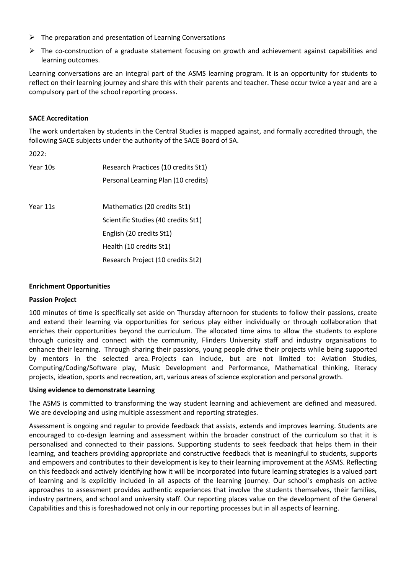- $\triangleright$  The preparation and presentation of Learning Conversations
- $\triangleright$  The co-construction of a graduate statement focusing on growth and achievement against capabilities and learning outcomes.

Learning conversations are an integral part of the ASMS learning program. It is an opportunity for students to reflect on their learning journey and share this with their parents and teacher. These occur twice a year and are a compulsory part of the school reporting process.

### **SACE Accreditation**

The work undertaken by students in the Central Studies is mapped against, and formally accredited through, the following SACE subjects under the authority of the SACE Board of SA.

2022:

| Year 10s | Research Practices (10 credits St1) |
|----------|-------------------------------------|
|          | Personal Learning Plan (10 credits) |
|          |                                     |
| Year 11s | Mathematics (20 credits St1)        |
|          | Scientific Studies (40 credits St1) |
|          | English (20 credits St1)            |
|          | Health (10 credits St1)             |
|          | Research Project (10 credits St2)   |

### **Enrichment Opportunities**

### **Passion Project**

100 minutes of time is specifically set aside on Thursday afternoon for students to follow their passions, create and extend their learning via opportunities for serious play either individually or through collaboration that enriches their opportunities beyond the curriculum. The allocated time aims to allow the students to explore through curiosity and connect with the community, Flinders University staff and industry organisations to enhance their learning. Through sharing their passions, young people drive their projects while being supported by mentors in the selected area. Projects can include, but are not limited to: Aviation Studies, Computing/Coding/Software play, Music Development and Performance, Mathematical thinking, literacy projects, ideation, sports and recreation, art, various areas of science exploration and personal growth.

### **Using evidence to demonstrate Learning**

The ASMS is committed to transforming the way student learning and achievement are defined and measured. We are developing and using multiple assessment and reporting strategies.

Assessment is ongoing and regular to provide feedback that assists, extends and improves learning. Students are encouraged to co-design learning and assessment within the broader construct of the curriculum so that it is personalised and connected to their passions. Supporting students to seek feedback that helps them in their learning, and teachers providing appropriate and constructive feedback that is meaningful to students, supports and empowers and contributes to their development is key to their learning improvement at the ASMS. Reflecting on this feedback and actively identifying how it will be incorporated into future learning strategies is a valued part of learning and is explicitly included in all aspects of the learning journey. Our school's emphasis on active approaches to assessment provides authentic experiences that involve the students themselves, their families, industry partners, and school and university staff. Our reporting places value on the development of the General Capabilities and this is foreshadowed not only in our reporting processes but in all aspects of learning.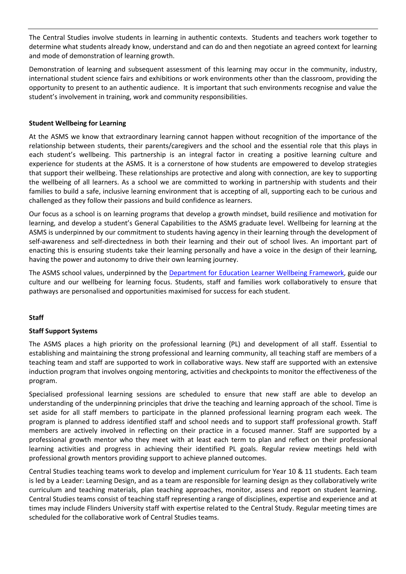The Central Studies involve students in learning in authentic contexts. Students and teachers work together to determine what students already know, understand and can do and then negotiate an agreed context for learning and mode of demonstration of learning growth.

Demonstration of learning and subsequent assessment of this learning may occur in the community, industry, international student science fairs and exhibitions or work environments other than the classroom, providing the opportunity to present to an authentic audience. It is important that such environments recognise and value the student's involvement in training, work and community responsibilities.

## **Student Wellbeing for Learning**

At the ASMS we know that extraordinary learning cannot happen without recognition of the importance of the relationship between students, their parents/caregivers and the school and the essential role that this plays in each student's wellbeing. This partnership is an integral factor in creating a positive learning culture and experience for students at the ASMS. It is a cornerstone of how students are empowered to develop strategies that support their wellbeing. These relationships are protective and along with connection, are key to supporting the wellbeing of all learners. As a school we are committed to working in partnership with students and their families to build a safe, inclusive learning environment that is accepting of all, supporting each to be curious and challenged as they follow their passions and build confidence as learners.

Our focus as a school is on learning programs that develop a growth mindset, build resilience and motivation for learning, and develop a student's General Capabilities to the ASMS graduate level. Wellbeing for learning at the ASMS is underpinned by our commitment to students having agency in their learning through the development of self-awareness and self-directedness in both their learning and their out of school lives. An important part of enacting this is ensuring students take their learning personally and have a voice in the design of their learning, having the power and autonomy to drive their own learning journey.

The ASMS school values, underpinned by the [Department for Education Learner Wellbeing Framework,](https://www.education.sa.gov.au/sites/default/files/wellbeing-for-learning-and-life-framework.pdf) guide our culture and our wellbeing for learning focus. Students, staff and families work collaboratively to ensure that pathways are personalised and opportunities maximised for success for each student.

## **Staff**

### **Staff Support Systems**

The ASMS places a high priority on the professional learning (PL) and development of all staff. Essential to establishing and maintaining the strong professional and learning community, all teaching staff are members of a teaching team and staff are supported to work in collaborative ways. New staff are supported with an extensive induction program that involves ongoing mentoring, activities and checkpoints to monitor the effectiveness of the program.

Specialised professional learning sessions are scheduled to ensure that new staff are able to develop an understanding of the underpinning principles that drive the teaching and learning approach of the school. Time is set aside for all staff members to participate in the planned professional learning program each week. The program is planned to address identified staff and school needs and to support staff professional growth. Staff members are actively involved in reflecting on their practice in a focused manner. Staff are supported by a professional growth mentor who they meet with at least each term to plan and reflect on their professional learning activities and progress in achieving their identified PL goals. Regular review meetings held with professional growth mentors providing support to achieve planned outcomes.

Central Studies teaching teams work to develop and implement curriculum for Year 10 & 11 students. Each team is led by a Leader: Learning Design, and as a team are responsible for learning design as they collaboratively write curriculum and teaching materials, plan teaching approaches, monitor, assess and report on student learning. Central Studies teams consist of teaching staff representing a range of disciplines, expertise and experience and at times may include Flinders University staff with expertise related to the Central Study. Regular meeting times are scheduled for the collaborative work of Central Studies teams.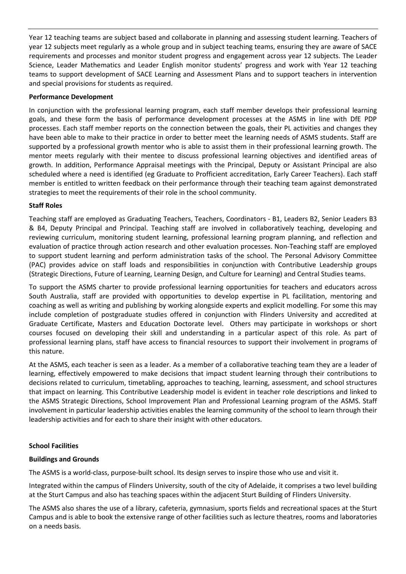Year 12 teaching teams are subject based and collaborate in planning and assessing student learning. Teachers of year 12 subjects meet regularly as a whole group and in subject teaching teams, ensuring they are aware of SACE requirements and processes and monitor student progress and engagement across year 12 subjects. The Leader Science, Leader Mathematics and Leader English monitor students' progress and work with Year 12 teaching teams to support development of SACE Learning and Assessment Plans and to support teachers in intervention and special provisions for students as required.

## **Performance Development**

In conjunction with the professional learning program, each staff member develops their professional learning goals, and these form the basis of performance development processes at the ASMS in line with DfE PDP processes. Each staff member reports on the connection between the goals, their PL activities and changes they have been able to make to their practice in order to better meet the learning needs of ASMS students. Staff are supported by a professional growth mentor who is able to assist them in their professional learning growth. The mentor meets regularly with their mentee to discuss professional learning objectives and identified areas of growth. In addition, Performance Appraisal meetings with the Principal, Deputy or Assistant Principal are also scheduled where a need is identified (eg Graduate to Profficient accreditation, Early Career Teachers). Each staff member is entitled to written feedback on their performance through their teaching team against demonstrated strategies to meet the requirements of their role in the school community.

## **Staff Roles**

Teaching staff are employed as Graduating Teachers, Teachers, Coordinators - B1, Leaders B2, Senior Leaders B3 & B4, Deputy Principal and Principal. Teaching staff are involved in collaboratively teaching, developing and reviewing curriculum, monitoring student learning, professional learning program planning, and reflection and evaluation of practice through action research and other evaluation processes. Non-Teaching staff are employed to support student learning and perform administration tasks of the school. The Personal Advisory Committee (PAC) provides advice on staff loads and responsibilities in conjunction with Contributive Leadership groups (Strategic Directions, Future of Learning, Learning Design, and Culture for Learning) and Central Studies teams.

To support the ASMS charter to provide professional learning opportunities for teachers and educators across South Australia, staff are provided with opportunities to develop expertise in PL facilitation, mentoring and coaching as well as writing and publishing by working alongside experts and explicit modelling. For some this may include completion of postgraduate studies offered in conjunction with Flinders University and accredited at Graduate Certificate, Masters and Education Doctorate level. Others may participate in workshops or short courses focused on developing their skill and understanding in a particular aspect of this role. As part of professional learning plans, staff have access to financial resources to support their involvement in programs of this nature.

At the ASMS, each teacher is seen as a leader. As a member of a collaborative teaching team they are a leader of learning, effectively empowered to make decisions that impact student learning through their contributions to decisions related to curriculum, timetabling, approaches to teaching, learning, assessment, and school structures that impact on learning. This Contributive Leadership model is evident in teacher role descriptions and linked to the ASMS Strategic Directions, School Improvement Plan and Professional Learning program of the ASMS. Staff involvement in particular leadership activities enables the learning community of the school to learn through their leadership activities and for each to share their insight with other educators.

### **School Facilities**

### **Buildings and Grounds**

The ASMS is a world-class, purpose-built school. Its design serves to inspire those who use and visit it.

Integrated within the campus of Flinders University, south of the city of Adelaide, it comprises a two level building at the Sturt Campus and also has teaching spaces within the adjacent Sturt Building of Flinders University.

The ASMS also shares the use of a library, cafeteria, gymnasium, sports fields and recreational spaces at the Sturt Campus and is able to book the extensive range of other facilities such as lecture theatres, rooms and laboratories on a needs basis.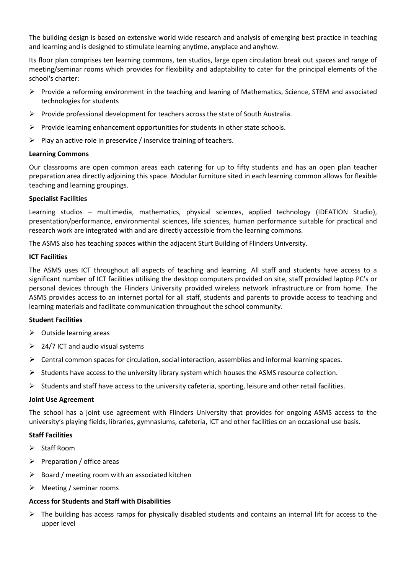The building design is based on extensive world wide research and analysis of emerging best practice in teaching and learning and is designed to stimulate learning anytime, anyplace and anyhow.

Its floor plan comprises ten learning commons, ten studios, large open circulation break out spaces and range of meeting/seminar rooms which provides for flexibility and adaptability to cater for the principal elements of the school's charter:

- ➢ Provide a reforming environment in the teaching and leaning of Mathematics, Science, STEM and associated technologies for students
- $\triangleright$  Provide professional development for teachers across the state of South Australia.
- $\triangleright$  Provide learning enhancement opportunities for students in other state schools.
- $\triangleright$  Play an active role in preservice / inservice training of teachers.

### **Learning Commons**

Our classrooms are open common areas each catering for up to fifty students and has an open plan teacher preparation area directly adjoining this space. Modular furniture sited in each learning common allows for flexible teaching and learning groupings.

### **Specialist Facilities**

Learning studios – multimedia, mathematics, physical sciences, applied technology (IDEATION Studio), presentation/performance, environmental sciences, life sciences, human performance suitable for practical and research work are integrated with and are directly accessible from the learning commons.

The ASMS also has teaching spaces within the adjacent Sturt Building of Flinders University.

#### **ICT Facilities**

The ASMS uses ICT throughout all aspects of teaching and learning. All staff and students have access to a significant number of ICT facilities utilising the desktop computers provided on site, staff provided laptop PC's or personal devices through the Flinders University provided wireless network infrastructure or from home. The ASMS provides access to an internet portal for all staff, students and parents to provide access to teaching and learning materials and facilitate communication throughout the school community.

### **Student Facilities**

- $\triangleright$  Outside learning areas
- $\geq$  24/7 ICT and audio visual systems
- $\triangleright$  Central common spaces for circulation, social interaction, assemblies and informal learning spaces.
- $\triangleright$  Students have access to the university library system which houses the ASMS resource collection.
- $\triangleright$  Students and staff have access to the university cafeteria, sporting, leisure and other retail facilities.

#### **Joint Use Agreement**

The school has a joint use agreement with Flinders University that provides for ongoing ASMS access to the university's playing fields, libraries, gymnasiums, cafeteria, ICT and other facilities on an occasional use basis.

### **Staff Facilities**

- ➢ Staff Room
- ➢ Preparation / office areas
- $\triangleright$  Board / meeting room with an associated kitchen
- $\triangleright$  Meeting / seminar rooms

### **Access for Students and Staff with Disabilities**

 $\triangleright$  The building has access ramps for physically disabled students and contains an internal lift for access to the upper level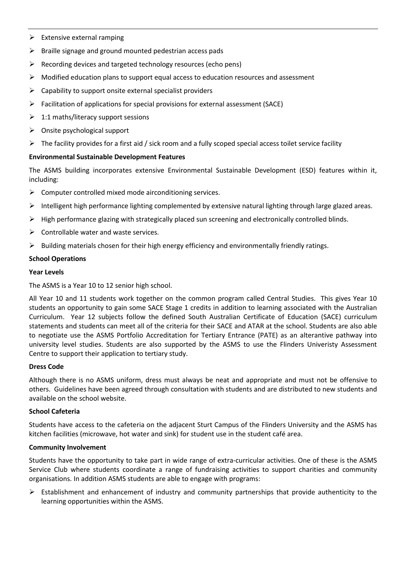- $\triangleright$  Extensive external ramping
- $\triangleright$  Braille signage and ground mounted pedestrian access pads
- $\triangleright$  Recording devices and targeted technology resources (echo pens)
- ➢ Modified education plans to support equal access to education resources and assessment
- $\triangleright$  Capability to support onsite external specialist providers
- $\triangleright$  Facilitation of applications for special provisions for external assessment (SACE)
- $\geq 1:1$  maths/literacy support sessions
- ➢ Onsite psychological support
- ➢ The facility provides for a first aid / sick room and a fully scoped special access toilet service facility

## **Environmental Sustainable Development Features**

The ASMS building incorporates extensive Environmental Sustainable Development (ESD) features within it, including:

- $\triangleright$  Computer controlled mixed mode airconditioning services.
- ➢ Intelligent high performance lighting complemented by extensive natural lighting through large glazed areas.
- ➢ High performance glazing with strategically placed sun screening and electronically controlled blinds.
- $\triangleright$  Controllable water and waste services.
- $\triangleright$  Building materials chosen for their high energy efficiency and environmentally friendly ratings.

## **School Operations**

### **Year Levels**

The ASMS is a Year 10 to 12 senior high school.

All Year 10 and 11 students work together on the common program called Central Studies. This gives Year 10 students an opportunity to gain some SACE Stage 1 credits in addition to learning associated with the Australian Curriculum. Year 12 subjects follow the defined South Australian Certificate of Education (SACE) curriculum statements and students can meet all of the criteria for their SACE and ATAR at the school. Students are also able to negotiate use the ASMS Portfolio Accreditation for Tertiary Entrance (PATE) as an alterantive pathway into university level studies. Students are also supported by the ASMS to use the Flinders Univeristy Assessment Centre to support their application to tertiary study.

### **Dress Code**

Although there is no ASMS uniform, dress must always be neat and appropriate and must not be offensive to others. Guidelines have been agreed through consultation with students and are distributed to new students and available on the school website.

### **School Cafeteria**

Students have access to the cafeteria on the adjacent Sturt Campus of the Flinders University and the ASMS has kitchen facilities (microwave, hot water and sink) for student use in the student café area.

### **Community Involvement**

Students have the opportunity to take part in wide range of extra-curricular activities. One of these is the ASMS Service Club where students coordinate a range of fundraising activities to support charities and community organisations. In addition ASMS students are able to engage with programs:

 $\triangleright$  Establishment and enhancement of industry and community partnerships that provide authenticity to the learning opportunities within the ASMS.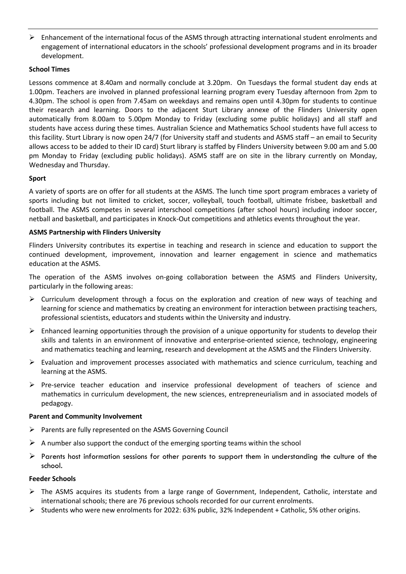➢ Enhancement of the international focus of the ASMS through attracting international student enrolments and engagement of international educators in the schools' professional development programs and in its broader development.

## **School Times**

Lessons commence at 8.40am and normally conclude at 3.20pm. On Tuesdays the formal student day ends at 1.00pm. Teachers are involved in planned professional learning program every Tuesday afternoon from 2pm to 4.30pm. The school is open from 7.45am on weekdays and remains open until 4.30pm for students to continue their research and learning. Doors to the adjacent Sturt Library annexe of the Flinders University open automatically from 8.00am to 5.00pm Monday to Friday (excluding some public holidays) and all staff and students have access during these times. Australian Science and Mathematics School students have full access to this facility. Sturt Library is now open 24/7 (for University staff and students and ASMS staff – an email to Security allows access to be added to their ID card) Sturt library is staffed by Flinders University between 9.00 am and 5.00 pm Monday to Friday (excluding public holidays). ASMS staff are on site in the library currently on Monday, Wednesday and Thursday.

## **Sport**

A variety of sports are on offer for all students at the ASMS. The lunch time sport program embraces a variety of sports including but not limited to cricket, soccer, volleyball, touch football, ultimate frisbee, basketball and football. The ASMS competes in several interschool competitions (after school hours) including indoor soccer, netball and basketball, and participates in Knock-Out competitions and athletics events throughout the year.

## **ASMS Partnership with Flinders University**

Flinders University contributes its expertise in teaching and research in science and education to support the continued development, improvement, innovation and learner engagement in science and mathematics education at the ASMS.

The operation of the ASMS involves on-going collaboration between the ASMS and Flinders University, particularly in the following areas:

- ➢ Curriculum development through a focus on the exploration and creation of new ways of teaching and learning for science and mathematics by creating an environment for interaction between practising teachers, professional scientists, educators and students within the University and industry.
- $\triangleright$  Enhanced learning opportunities through the provision of a unique opportunity for students to develop their skills and talents in an environment of innovative and enterprise-oriented science, technology, engineering and mathematics teaching and learning, research and development at the ASMS and the Flinders University.
- $\triangleright$  Evaluation and improvement processes associated with mathematics and science curriculum, teaching and learning at the ASMS.
- ➢ Pre-service teacher education and inservice professional development of teachers of science and mathematics in curriculum development, the new sciences, entrepreneurialism and in associated models of pedagogy.

### **Parent and Community Involvement**

- ➢ Parents are fully represented on the ASMS Governing Council
- $\triangleright$  A number also support the conduct of the emerging sporting teams within the school
- $\triangleright$  Parents host information sessions for other parents to support them in understanding the culture of the school.

### **Feeder Schools**

- ➢ The ASMS acquires its students from a large range of Government, Independent, Catholic, interstate and international schools; there are 76 previous schools recorded for our current enrolments.
- ➢ Students who were new enrolments for 2022: 63% public, 32% Independent + Catholic, 5% other origins.